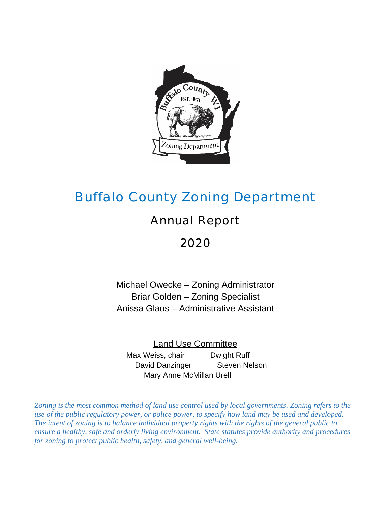

# Buffalo County Zoning Department

## Annual Report

## 2020

Michael Owecke – Zoning Administrator Briar Golden – Zoning Specialist Anissa Glaus – Administrative Assistant

Land Use Committee Max Weiss, chair **Dwight Ruff** David Danzinger Steven Nelson Mary Anne McMillan Urell

*Zoning is the most common method of land use control used by local governments. Zoning refers to the use of the public regulatory power, or police power, to specify how land may be used and developed. The intent of zoning is to balance individual property rights with the rights of the general public to ensure a healthy, safe and orderly living environment. State statutes provide authority and procedures for zoning to protect public health, safety, and general well-being.*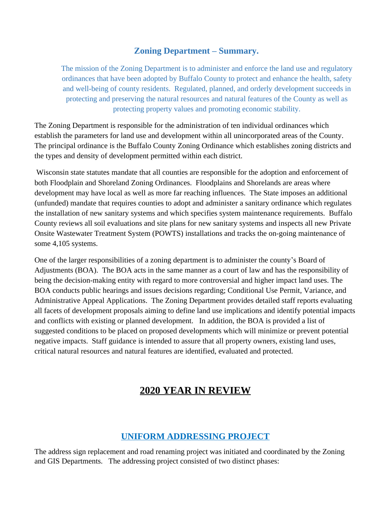#### **Zoning Department – Summary.**

The mission of the Zoning Department is to administer and enforce the land use and regulatory ordinances that have been adopted by Buffalo County to protect and enhance the health, safety and well-being of county residents. Regulated, planned, and orderly development succeeds in protecting and preserving the natural resources and natural features of the County as well as protecting property values and promoting economic stability.

The Zoning Department is responsible for the administration of ten individual ordinances which establish the parameters for land use and development within all unincorporated areas of the County. The principal ordinance is the Buffalo County Zoning Ordinance which establishes zoning districts and the types and density of development permitted within each district.

Wisconsin state statutes mandate that all counties are responsible for the adoption and enforcement of both Floodplain and Shoreland Zoning Ordinances. Floodplains and Shorelands are areas where development may have local as well as more far reaching influences. The State imposes an additional (unfunded) mandate that requires counties to adopt and administer a sanitary ordinance which regulates the installation of new sanitary systems and which specifies system maintenance requirements. Buffalo County reviews all soil evaluations and site plans for new sanitary systems and inspects all new Private Onsite Wastewater Treatment System (POWTS) installations and tracks the on-going maintenance of some 4,105 systems.

One of the larger responsibilities of a zoning department is to administer the county's Board of Adjustments (BOA). The BOA acts in the same manner as a court of law and has the responsibility of being the decision-making entity with regard to more controversial and higher impact land uses. The BOA conducts public hearings and issues decisions regarding; Conditional Use Permit, Variance, and Administrative Appeal Applications. The Zoning Department provides detailed staff reports evaluating all facets of development proposals aiming to define land use implications and identify potential impacts and conflicts with existing or planned development. In addition, the BOA is provided a list of suggested conditions to be placed on proposed developments which will minimize or prevent potential negative impacts. Staff guidance is intended to assure that all property owners, existing land uses, critical natural resources and natural features are identified, evaluated and protected.

## **2020 YEAR IN REVIEW**

## **UNIFORM ADDRESSING PROJECT**

The address sign replacement and road renaming project was initiated and coordinated by the Zoning and GIS Departments. The addressing project consisted of two distinct phases: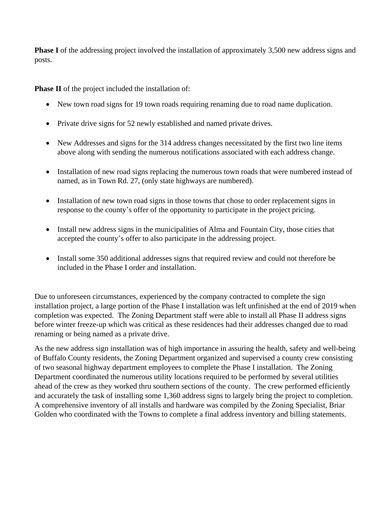**Phase I** of the addressing project involved the installation of approximately 3,500 new address signs and posts.

**Phase II** of the project included the installation of:

- New town road signs for 19 town roads requiring renaming due to road name duplication.
- Private drive signs for 52 newly established and named private drives.
- New Addresses and signs for the 314 address changes necessitated by the first two line items above along with sending the numerous notifications associated with each address change.
- Installation of new road signs replacing the numerous town roads that were numbered instead of named, as in Town Rd. 27, (only state highways are numbered).
- Installation of new town road signs in those towns that chose to order replacement signs in response to the county's offer of the opportunity to participate in the project pricing.
- Install new address signs in the municipalities of Alma and Fountain City, those cities that accepted the county's offer to also participate in the addressing project.
- Install some 350 additional addresses signs that required review and could not therefore be included in the Phase I order and installation.

Due to unforeseen circumstances, experienced by the company contracted to complete the sign installation project, a large portion of the Phase I installation was left unfinished at the end of 2019 when completion was expected. The Zoning Department staff were able to install all Phase II address signs before winter freeze-up which was critical as these residences had their addresses changed due to road renaming or being named as a private drive.

As the new address sign installation was of high importance in assuring the health, safety and well-being of Buffalo County residents, the Zoning Department organized and supervised a county crew consisting of two seasonal highway department employees to complete the Phase I installation. The Zoning Department coordinated the numerous utility locations required to be performed by several utilities ahead of the crew as they worked thru southern sections of the county. The crew performed efficiently and accurately the task of installing some 1,360 address signs to largely bring the project to completion. A comprehensive inventory of all installs and hardware was compiled by the Zoning Specialist, Briar Golden who coordinated with the Towns to complete a final address inventory and billing statements.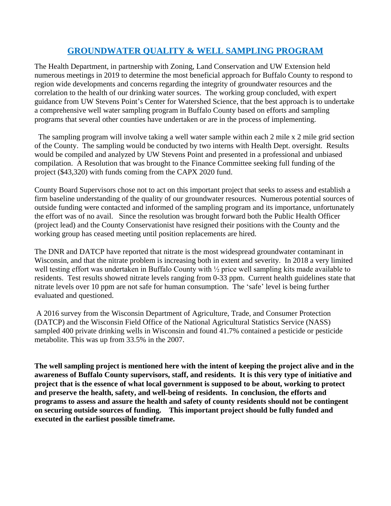## **GROUNDWATER QUALITY & WELL SAMPLING PROGRAM**

The Health Department, in partnership with Zoning, Land Conservation and UW Extension held numerous meetings in 2019 to determine the most beneficial approach for Buffalo County to respond to region wide developments and concerns regarding the integrity of groundwater resources and the correlation to the health of our drinking water sources. The working group concluded, with expert guidance from UW Stevens Point's Center for Watershed Science, that the best approach is to undertake a comprehensive well water sampling program in Buffalo County based on efforts and sampling programs that several other counties have undertaken or are in the process of implementing.

 The sampling program will involve taking a well water sample within each 2 mile x 2 mile grid section of the County. The sampling would be conducted by two interns with Health Dept. oversight. Results would be compiled and analyzed by UW Stevens Point and presented in a professional and unbiased compilation. A Resolution that was brought to the Finance Committee seeking full funding of the project (\$43,320) with funds coming from the CAPX 2020 fund.

County Board Supervisors chose not to act on this important project that seeks to assess and establish a firm baseline understanding of the quality of our groundwater resources. Numerous potential sources of outside funding were contacted and informed of the sampling program and its importance, unfortunately the effort was of no avail. Since the resolution was brought forward both the Public Health Officer (project lead) and the County Conservationist have resigned their positions with the County and the working group has ceased meeting until position replacements are hired.

The DNR and DATCP have reported that nitrate is the most widespread groundwater contaminant in Wisconsin, and that the nitrate problem is increasing both in extent and severity. In 2018 a very limited well testing effort was undertaken in Buffalo County with ½ price well sampling kits made available to residents. Test results showed nitrate levels ranging from 0-33 ppm. Current health guidelines state that nitrate levels over 10 ppm are not safe for human consumption. The 'safe' level is being further evaluated and questioned.

A 2016 survey from the Wisconsin Department of Agriculture, Trade, and Consumer Protection (DATCP) and the Wisconsin Field Office of the National Agricultural Statistics Service (NASS) sampled 400 private drinking wells in Wisconsin and found 41.7% contained a pesticide or pesticide metabolite. This was up from 33.5% in the 2007.

**The well sampling project is mentioned here with the intent of keeping the project alive and in the awareness of Buffalo County supervisors, staff, and residents. It is this very type of initiative and project that is the essence of what local government is supposed to be about, working to protect and preserve the health, safety, and well-being of residents. In conclusion, the efforts and programs to assess and assure the health and safety of county residents should not be contingent on securing outside sources of funding. This important project should be fully funded and executed in the earliest possible timeframe.**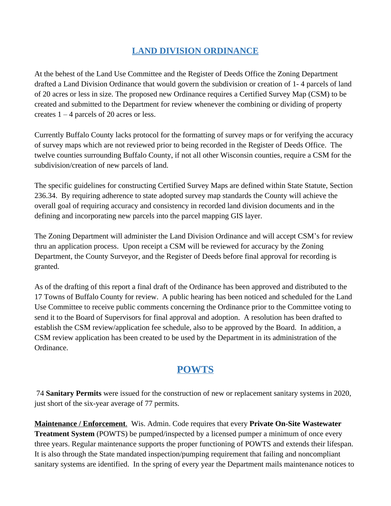## **LAND DIVISION ORDINANCE**

At the behest of the Land Use Committee and the Register of Deeds Office the Zoning Department drafted a Land Division Ordinance that would govern the subdivision or creation of 1- 4 parcels of land of 20 acres or less in size. The proposed new Ordinance requires a Certified Survey Map (CSM) to be created and submitted to the Department for review whenever the combining or dividing of property creates 1 – 4 parcels of 20 acres or less.

Currently Buffalo County lacks protocol for the formatting of survey maps or for verifying the accuracy of survey maps which are not reviewed prior to being recorded in the Register of Deeds Office. The twelve counties surrounding Buffalo County, if not all other Wisconsin counties, require a CSM for the subdivision/creation of new parcels of land.

The specific guidelines for constructing Certified Survey Maps are defined within State Statute, Section 236.34. By requiring adherence to state adopted survey map standards the County will achieve the overall goal of requiring accuracy and consistency in recorded land division documents and in the defining and incorporating new parcels into the parcel mapping GIS layer.

The Zoning Department will administer the Land Division Ordinance and will accept CSM's for review thru an application process. Upon receipt a CSM will be reviewed for accuracy by the Zoning Department, the County Surveyor, and the Register of Deeds before final approval for recording is granted.

As of the drafting of this report a final draft of the Ordinance has been approved and distributed to the 17 Towns of Buffalo County for review. A public hearing has been noticed and scheduled for the Land Use Committee to receive public comments concerning the Ordinance prior to the Committee voting to send it to the Board of Supervisors for final approval and adoption. A resolution has been drafted to establish the CSM review/application fee schedule, also to be approved by the Board. In addition, a CSM review application has been created to be used by the Department in its administration of the Ordinance.

## **POWTS**

74 **Sanitary Permits** were issued for the construction of new or replacement sanitary systems in 2020, just short of the six-year average of 77 permits.

**Maintenance / Enforcement**. Wis. Admin. Code requires that every **Private On-Site Wastewater Treatment System** (POWTS) be pumped/inspected by a licensed pumper a minimum of once every three years. Regular maintenance supports the proper functioning of POWTS and extends their lifespan. It is also through the State mandated inspection/pumping requirement that failing and noncompliant sanitary systems are identified. In the spring of every year the Department mails maintenance notices to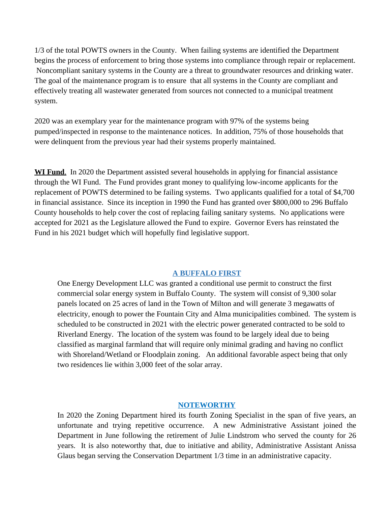1/3 of the total POWTS owners in the County. When failing systems are identified the Department begins the process of enforcement to bring those systems into compliance through repair or replacement. Noncompliant sanitary systems in the County are a threat to groundwater resources and drinking water. The goal of the maintenance program is to ensure that all systems in the County are compliant and effectively treating all wastewater generated from sources not connected to a municipal treatment system.

2020 was an exemplary year for the maintenance program with 97% of the systems being pumped/inspected in response to the maintenance notices. In addition, 75% of those households that were delinquent from the previous year had their systems properly maintained.

**WI Fund**. In 2020 the Department assisted several households in applying for financial assistance through the WI Fund. The Fund provides grant money to qualifying low-income applicants for the replacement of POWTS determined to be failing systems. Two applicants qualified for a total of \$4,700 in financial assistance. Since its inception in 1990 the Fund has granted over \$800,000 to 296 Buffalo County households to help cover the cost of replacing failing sanitary systems. No applications were accepted for 2021 as the Legislature allowed the Fund to expire. Governor Evers has reinstated the Fund in his 2021 budget which will hopefully find legislative support.

#### **A BUFFALO FIRST**

One Energy Development LLC was granted a conditional use permit to construct the first commercial solar energy system in Buffalo County. The system will consist of 9,300 solar panels located on 25 acres of land in the Town of Milton and will generate 3 megawatts of electricity, enough to power the Fountain City and Alma municipalities combined. The system is scheduled to be constructed in 2021 with the electric power generated contracted to be sold to Riverland Energy. The location of the system was found to be largely ideal due to being classified as marginal farmland that will require only minimal grading and having no conflict with Shoreland/Wetland or Floodplain zoning. An additional favorable aspect being that only two residences lie within 3,000 feet of the solar array.

#### **NOTEWORTHY**

In 2020 the Zoning Department hired its fourth Zoning Specialist in the span of five years, an unfortunate and trying repetitive occurrence. A new Administrative Assistant joined the Department in June following the retirement of Julie Lindstrom who served the county for 26 years. It is also noteworthy that, due to initiative and ability, Administrative Assistant Anissa Glaus began serving the Conservation Department 1/3 time in an administrative capacity.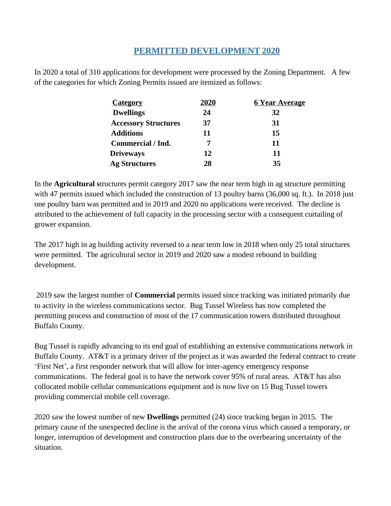#### **PERMITTED DEVELOPMENT 2020**

In 2020 a total of 310 applications for development were processed by the Zoning Department. A few of the categories for which Zoning Permits issued are itemized as follows:

| 2020 | <u><b>6 Year Average</b></u> |
|------|------------------------------|
| 24   | 32                           |
| 37   | 31                           |
| 11   | 15                           |
|      | 11                           |
| 12   | 11                           |
| 28   | 35                           |
|      |                              |

In the **Agricultural s**tructures permit category 2017 saw the near term high in ag structure permitting with 47 permits issued which included the construction of 13 poultry barns (36,000 sq. ft.). In 2018 just one poultry barn was permitted and in 2019 and 2020 no applications were received. The decline is attributed to the achievement of full capacity in the processing sector with a consequent curtailing of grower expansion.

The 2017 high in ag building activity reversed to a near term low in 2018 when only 25 total structures were permitted. The agricultural sector in 2019 and 2020 saw a modest rebound in building development.

 2019 saw the largest number of **Commercial** permits issued since tracking was initiated primarily due to activity in the wireless communications sector. Bug Tussel Wireless has now completed the permitting process and construction of most of the 17 communication towers distributed throughout Buffalo County.

Bug Tussel is rapidly advancing to its end goal of establishing an extensive communications network in Buffalo County. AT&T is a primary driver of the project as it was awarded the federal contract to create 'First Net', a first responder network that will allow for inter-agency emergency response communications. The federal goal is to have the network cover 95% of rural areas. AT&T has also collocated mobile cellular communications equipment and is now live on 15 Bug Tussel towers providing commercial mobile cell coverage.

2020 saw the lowest number of new **Dwellings** permitted (24) since tracking began in 2015. The primary cause of the unexpected decline is the arrival of the corona virus which caused a temporary, or longer, interruption of development and construction plans due to the overbearing uncertainty of the situation.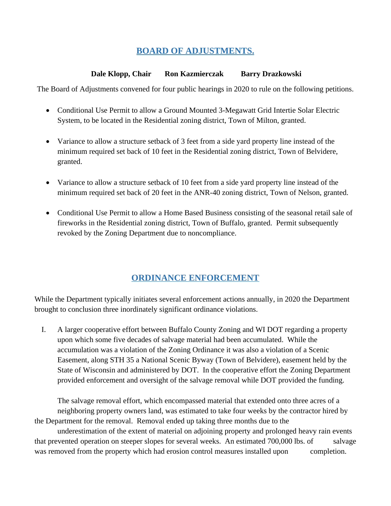## **BOARD OF ADJUSTMENTS.**

#### **Dale Klopp, Chair Ron Kazmierczak Barry Drazkowski**

The Board of Adjustments convened for four public hearings in 2020 to rule on the following petitions.

- Conditional Use Permit to allow a Ground Mounted 3-Megawatt Grid Intertie Solar Electric System, to be located in the Residential zoning district, Town of Milton, granted.
- Variance to allow a structure setback of 3 feet from a side yard property line instead of the minimum required set back of 10 feet in the Residential zoning district, Town of Belvidere, granted.
- Variance to allow a structure setback of 10 feet from a side yard property line instead of the minimum required set back of 20 feet in the ANR-40 zoning district, Town of Nelson, granted.
- Conditional Use Permit to allow a Home Based Business consisting of the seasonal retail sale of fireworks in the Residential zoning district, Town of Buffalo, granted. Permit subsequently revoked by the Zoning Department due to noncompliance.

## **ORDINANCE ENFORCEMENT**

While the Department typically initiates several enforcement actions annually, in 2020 the Department brought to conclusion three inordinately significant ordinance violations.

I. A larger cooperative effort between Buffalo County Zoning and WI DOT regarding a property upon which some five decades of salvage material had been accumulated. While the accumulation was a violation of the Zoning Ordinance it was also a violation of a Scenic Easement, along STH 35 a National Scenic Byway (Town of Belvidere), easement held by the State of Wisconsin and administered by DOT. In the cooperative effort the Zoning Department provided enforcement and oversight of the salvage removal while DOT provided the funding.

The salvage removal effort, which encompassed material that extended onto three acres of a neighboring property owners land, was estimated to take four weeks by the contractor hired by the Department for the removal. Removal ended up taking three months due to the

underestimation of the extent of material on adjoining property and prolonged heavy rain events that prevented operation on steeper slopes for several weeks. An estimated 700,000 lbs. of salvage was removed from the property which had erosion control measures installed upon completion.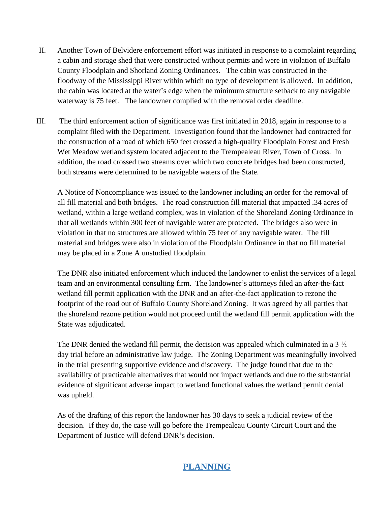- II. Another Town of Belvidere enforcement effort was initiated in response to a complaint regarding a cabin and storage shed that were constructed without permits and were in violation of Buffalo County Floodplain and Shorland Zoning Ordinances. The cabin was constructed in the floodway of the Mississippi River within which no type of development is allowed. In addition, the cabin was located at the water's edge when the minimum structure setback to any navigable waterway is 75 feet. The landowner complied with the removal order deadline.
- III. The third enforcement action of significance was first initiated in 2018, again in response to a complaint filed with the Department. Investigation found that the landowner had contracted for the construction of a road of which 650 feet crossed a high-quality Floodplain Forest and Fresh Wet Meadow wetland system located adjacent to the Trempealeau River, Town of Cross. In addition, the road crossed two streams over which two concrete bridges had been constructed, both streams were determined to be navigable waters of the State.

A Notice of Noncompliance was issued to the landowner including an order for the removal of all fill material and both bridges. The road construction fill material that impacted .34 acres of wetland, within a large wetland complex, was in violation of the Shoreland Zoning Ordinance in that all wetlands within 300 feet of navigable water are protected. The bridges also were in violation in that no structures are allowed within 75 feet of any navigable water. The fill material and bridges were also in violation of the Floodplain Ordinance in that no fill material may be placed in a Zone A unstudied floodplain.

The DNR also initiated enforcement which induced the landowner to enlist the services of a legal team and an environmental consulting firm. The landowner's attorneys filed an after-the-fact wetland fill permit application with the DNR and an after-the-fact application to rezone the footprint of the road out of Buffalo County Shoreland Zoning. It was agreed by all parties that the shoreland rezone petition would not proceed until the wetland fill permit application with the State was adjudicated.

The DNR denied the wetland fill permit, the decision was appealed which culminated in a  $3\frac{1}{2}$ day trial before an administrative law judge. The Zoning Department was meaningfully involved in the trial presenting supportive evidence and discovery. The judge found that due to the availability of practicable alternatives that would not impact wetlands and due to the substantial evidence of significant adverse impact to wetland functional values the wetland permit denial was upheld.

As of the drafting of this report the landowner has 30 days to seek a judicial review of the decision. If they do, the case will go before the Trempealeau County Circuit Court and the Department of Justice will defend DNR's decision.

## **PLANNING**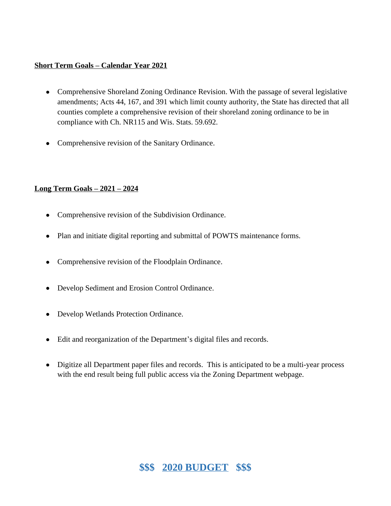#### **Short Term Goals – Calendar Year 2021**

- Comprehensive Shoreland Zoning Ordinance Revision. With the passage of several legislative amendments; Acts 44, 167, and 391 which limit county authority, the State has directed that all counties complete a comprehensive revision of their shoreland zoning ordinance to be in compliance with Ch. NR115 and Wis. Stats. 59.692.
- Comprehensive revision of the Sanitary Ordinance.

#### **Long Term Goals – 2021 – 2024**

- Comprehensive revision of the Subdivision Ordinance.
- Plan and initiate digital reporting and submittal of POWTS maintenance forms.
- Comprehensive revision of the Floodplain Ordinance.
- Develop Sediment and Erosion Control Ordinance.
- Develop Wetlands Protection Ordinance.
- Edit and reorganization of the Department's digital files and records.
- Digitize all Department paper files and records. This is anticipated to be a multi-year process with the end result being full public access via the Zoning Department webpage.

## **\$\$\$ 2020 BUDGET \$\$\$**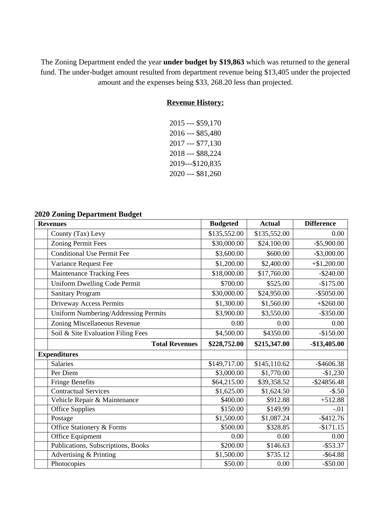The Zoning Department ended the year **under budget by \$19,863** which was returned to the general fund. The under-budget amount resulted from department revenue being \$13,405 under the projected amount and the expenses being \$33, 268.20 less than projected.

#### **Revenue History:**

| 2015 --- \$59,170 |
|-------------------|
| 2016 --- \$85,480 |
| 2017 --- \$77,130 |
| 2018 --- \$88,224 |
| 2019---\$120,835  |
| 2020 --- \$81,260 |

#### **2020 Zoning Department Budget**

| <b>Revenues</b>                      | <b>Budgeted</b> | <b>Actual</b> | <b>Difference</b> |
|--------------------------------------|-----------------|---------------|-------------------|
| County (Tax) Levy                    | \$135,552.00    | \$135,552.00  | 0.00              |
| <b>Zoning Permit Fees</b>            | \$30,000.00     | \$24,100.00   | $-$ \$5,900.00    |
| <b>Conditional Use Permit Fee</b>    | \$3,600.00      | \$600.00      | $-$ \$3,000.00    |
| Variance Request Fee                 | \$1,200.00      | \$2,400.00    | $+\$1,200.00$     |
| <b>Maintenance Tracking Fees</b>     | \$18,000.00     | \$17,760.00   | $-$ \$240.00      |
| <b>Uniform Dwelling Code Permit</b>  | \$700.00        | \$525.00      | $-$175.00$        |
| <b>Sanitary Program</b>              | \$30,000.00     | \$24,950.00   | $-$ \$5050.00     |
| Driveway Access Permits              | \$1,300.00      | \$1,560.00    | $+ $260.00$       |
| Uniform Numbering/Addressing Permits | \$3,900.00      | \$3,550.00    | $-$ \$350.00      |
| Zoning Miscellaneous Revenue         | 0.00            | 0.00          | 0.00              |
| Soil & Site Evaluation Filing Fees   | \$4,500.00      | \$4350.00     | $-$150.00$        |
| <b>Total Revenues</b>                | \$228,752.00    | \$215,347.00  | $-$13,405.00$     |
| <b>Expenditures</b>                  |                 |               |                   |
| <b>Salaries</b>                      | \$149,717.00    | \$145,110.62  | $-$ \$4606.38     |
| Per Diem                             | \$3,000.00      | \$1,770.00    | $-\$1,230$        |
| <b>Fringe Benefits</b>               | \$64,215.00     | \$39,358.52   | $-$ \$24856.48    |
| Contractual Services                 | \$1,625.00      | \$1,624.50    | $-$ \$.50         |
| Vehicle Repair & Maintenance         | \$400.00        | \$912.88      | $+512.88$         |
| <b>Office Supplies</b>               | \$150.00        | \$149.99      | $-.01$            |
| Postage                              | \$1,500.00      | \$1,087.24    | $-$ \$412.76      |
| Office Stationery & Forms            | \$500.00        | \$328.85      | $-$171.15$        |
| Office Equipment                     | 0.00            | 0.00          | 0.00              |
| Publications, Subscriptions, Books   | \$200.00        | \$146.63      | $-$ \$53.37       |
| Advertising & Printing               | \$1,500.00      | \$735.12      | $-$ \$64.88       |
| Photocopies                          | \$50.00         | 0.00          | $-$ \$50.00       |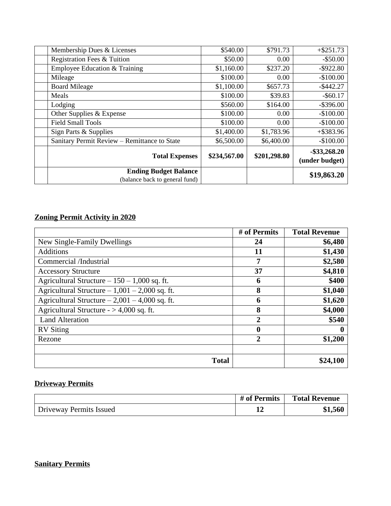| Membership Dues & Licenses                   | \$540.00     | \$791.73     | $+$ \$251.73                      |
|----------------------------------------------|--------------|--------------|-----------------------------------|
| Registration Fees & Tuition                  | \$50.00      | 0.00         | $-$ \$50.00                       |
| Employee Education & Training                | \$1,160.00   | \$237.20     | $-$ \$922.80                      |
| Mileage                                      | \$100.00     | 0.00         | $-$100.00$                        |
| <b>Board Mileage</b>                         | \$1,100.00   | \$657.73     | $-$ \$442.27                      |
| Meals                                        | \$100.00     | \$39.83      | $-$ \$60.17                       |
| Lodging                                      | \$560.00     | \$164.00     | $-$ \$396.00                      |
| Other Supplies & Expense                     | \$100.00     | 0.00         | $-$100.00$                        |
| <b>Field Small Tools</b>                     | \$100.00     | 0.00         | $-$100.00$                        |
| Sign Parts & Supplies                        | \$1,400.00   | \$1,783.96   | $+$ \$383.96                      |
| Sanitary Permit Review – Remittance to State | \$6,500.00   | \$6,400.00   | $-$100.00$                        |
| <b>Total Expenses</b>                        | \$234,567.00 | \$201,298.80 | $-$ \$33,268.20<br>(under budget) |
| <b>Ending Budget Balance</b>                 |              |              | \$19,863.20                       |
| (balance back to general fund)               |              |              |                                   |

## **Zoning Permit Activity in 2020**

|                                                 | # of Permits     | <b>Total Revenue</b> |
|-------------------------------------------------|------------------|----------------------|
| New Single-Family Dwellings                     | 24               | \$6,480              |
| <b>Additions</b>                                | 11               | \$1,430              |
| Commercial /Industrial                          | 7                | \$2,580              |
| <b>Accessory Structure</b>                      | 37               | \$4,810              |
| Agricultural Structure $-150 - 1,000$ sq. ft.   | 6                | \$400                |
| Agricultural Structure $-1,001 - 2,000$ sq. ft. | 8                | \$1,040              |
| Agricultural Structure $-2,001 - 4,000$ sq. ft. | 6                | \$1,620              |
| Agricultural Structure - $> 4,000$ sq. ft.      | 8                | \$4,000              |
| <b>Land Alteration</b>                          | 2                | \$540                |
| <b>RV</b> Siting                                | $\boldsymbol{0}$ | O                    |
| Rezone                                          | $\overline{2}$   | \$1,200              |
|                                                 |                  |                      |
| <b>Total</b>                                    |                  | \$24,100             |

## **Driveway Permits**

|                         | # of Permits | <b>Total Revenue</b> |
|-------------------------|--------------|----------------------|
| Driveway Permits Issued |              | \$1,560              |

## **Sanitary Permits**